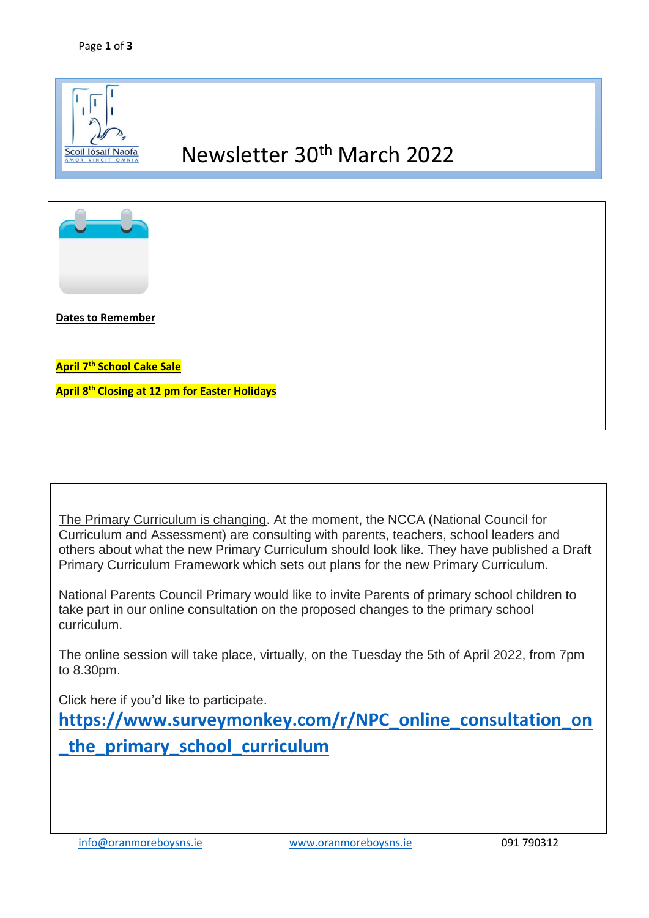

The Primary Curriculum is changing. At the moment, the NCCA (National Council for Curriculum and Assessment) are consulting with parents, teachers, school leaders and others about what the new Primary Curriculum should look like. They have published a Draft Primary Curriculum Framework which sets out plans for the new Primary Curriculum.

National Parents Council Primary would like to invite Parents of primary school children to take part in our online consultation on the proposed changes to the primary school curriculum.

The online session will take place, virtually, on the Tuesday the 5th of April 2022, from 7pm to 8.30pm.

Click here if you'd like to participate.

**[https://www.surveymonkey.com/r/NPC\\_online\\_consultation\\_on](https://www.surveymonkey.com/r/NPC_online_consultation_on_the_primary_school_curriculum) [\\_the\\_primary\\_school\\_curriculum](https://www.surveymonkey.com/r/NPC_online_consultation_on_the_primary_school_curriculum)**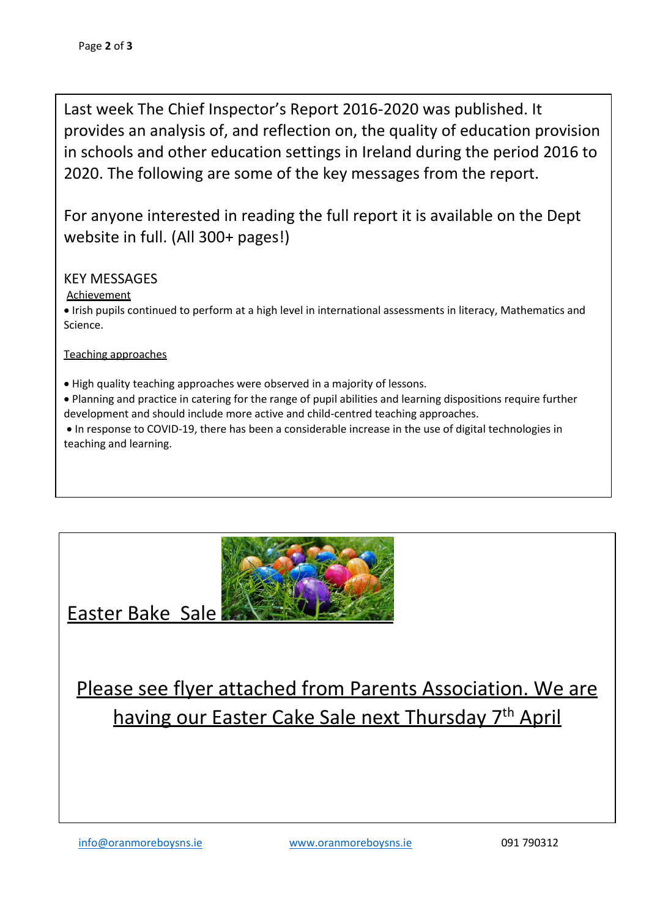Last week The Chief Inspector's Report 2016-2020 was published. It provides an analysis of, and reflection on, the quality of education provision in schools and other education settings in Ireland during the period 2016 to 2020. The following are some of the key messages from the report.

For anyone interested in reading the full report it is available on the Dept website in full. (All 300+ pages!)

## KEY MESSAGES

## **Achievement**

 Irish pupils continued to perform at a high level in international assessments in literacy, Mathematics and Science.

Teaching approaches

High quality teaching approaches were observed in a majority of lessons.

 Planning and practice in catering for the range of pupil abilities and learning dispositions require further development and should include more active and child-centred teaching approaches.

 In response to COVID-19, there has been a considerable increase in the use of digital technologies in teaching and learning.



Easter Bake Sale

Please see flyer attached from Parents Association. We are having our Easter Cake Sale next Thursday 7<sup>th</sup> April